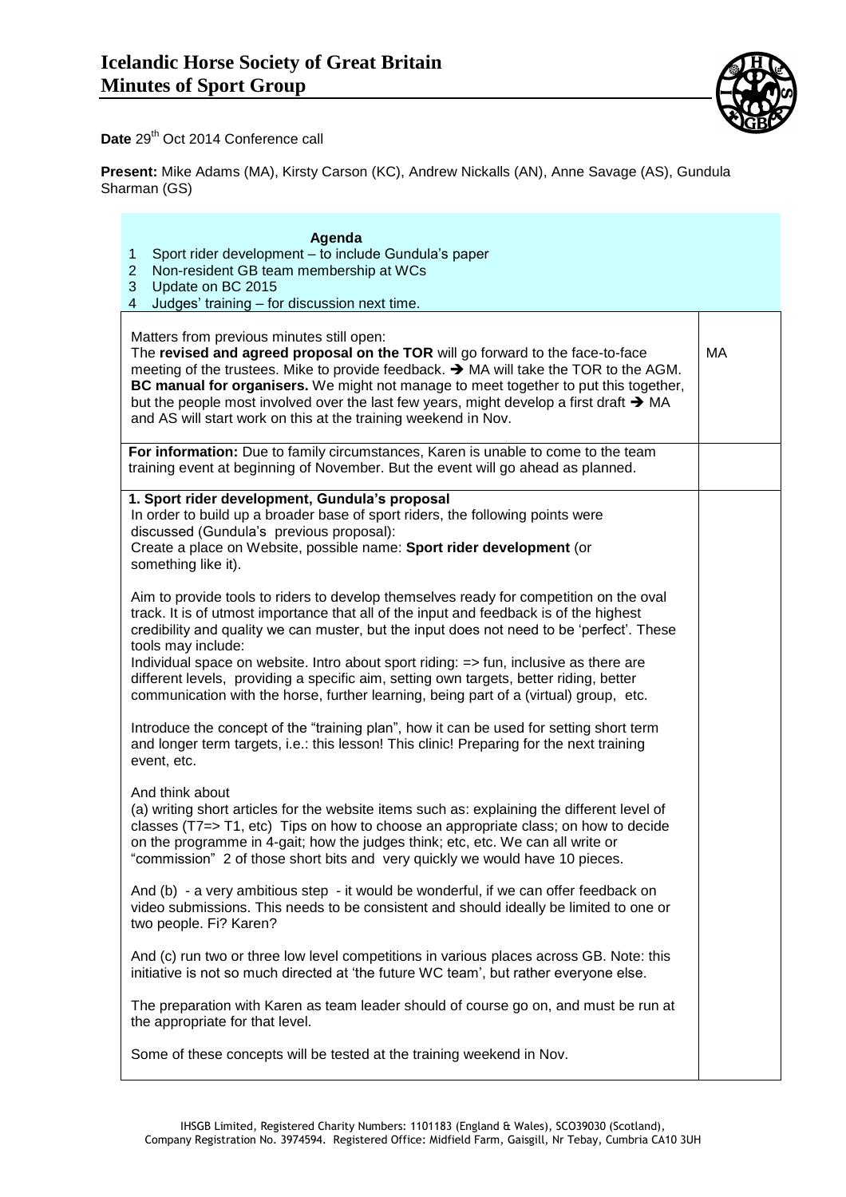

Date 29<sup>th</sup> Oct 2014 Conference call

**Present:** Mike Adams (MA), Kirsty Carson (KC), Andrew Nickalls (AN), Anne Savage (AS), Gundula Sharman (GS)

| Agenda<br>Sport rider development - to include Gundula's paper<br>1<br>$\overline{2}$<br>Non-resident GB team membership at WCs<br>3<br>Update on BC 2015<br>$\overline{4}$<br>Judges' training - for discussion next time.                                                                                                                                                                                                                                                                                                                                                     |    |
|---------------------------------------------------------------------------------------------------------------------------------------------------------------------------------------------------------------------------------------------------------------------------------------------------------------------------------------------------------------------------------------------------------------------------------------------------------------------------------------------------------------------------------------------------------------------------------|----|
| Matters from previous minutes still open:<br>The revised and agreed proposal on the TOR will go forward to the face-to-face<br>meeting of the trustees. Mike to provide feedback. → MA will take the TOR to the AGM.<br>BC manual for organisers. We might not manage to meet together to put this together,<br>but the people most involved over the last few years, might develop a first draft $\rightarrow$ MA<br>and AS will start work on this at the training weekend in Nov.                                                                                            | MA |
| For information: Due to family circumstances, Karen is unable to come to the team<br>training event at beginning of November. But the event will go ahead as planned.                                                                                                                                                                                                                                                                                                                                                                                                           |    |
| 1. Sport rider development, Gundula's proposal<br>In order to build up a broader base of sport riders, the following points were<br>discussed (Gundula's previous proposal):<br>Create a place on Website, possible name: Sport rider development (or<br>something like it).                                                                                                                                                                                                                                                                                                    |    |
| Aim to provide tools to riders to develop themselves ready for competition on the oval<br>track. It is of utmost importance that all of the input and feedback is of the highest<br>credibility and quality we can muster, but the input does not need to be 'perfect'. These<br>tools may include:<br>Individual space on website. Intro about sport riding: => fun, inclusive as there are<br>different levels, providing a specific aim, setting own targets, better riding, better<br>communication with the horse, further learning, being part of a (virtual) group, etc. |    |
| Introduce the concept of the "training plan", how it can be used for setting short term<br>and longer term targets, i.e.: this lesson! This clinic! Preparing for the next training<br>event, etc.                                                                                                                                                                                                                                                                                                                                                                              |    |
| And think about<br>(a) writing short articles for the website items such as: explaining the different level of<br>classes ( $T7 \Rightarrow T1$ , etc) Tips on how to choose an appropriate class; on how to decide<br>on the programme in 4-gait; how the judges think; etc, etc. We can all write or<br>"commission" 2 of those short bits and very quickly we would have 10 pieces.                                                                                                                                                                                          |    |
| And (b) - a very ambitious step - it would be wonderful, if we can offer feedback on<br>video submissions. This needs to be consistent and should ideally be limited to one or<br>two people. Fi? Karen?                                                                                                                                                                                                                                                                                                                                                                        |    |
| And (c) run two or three low level competitions in various places across GB. Note: this<br>initiative is not so much directed at 'the future WC team', but rather everyone else.                                                                                                                                                                                                                                                                                                                                                                                                |    |
| The preparation with Karen as team leader should of course go on, and must be run at<br>the appropriate for that level.                                                                                                                                                                                                                                                                                                                                                                                                                                                         |    |
| Some of these concepts will be tested at the training weekend in Nov.                                                                                                                                                                                                                                                                                                                                                                                                                                                                                                           |    |